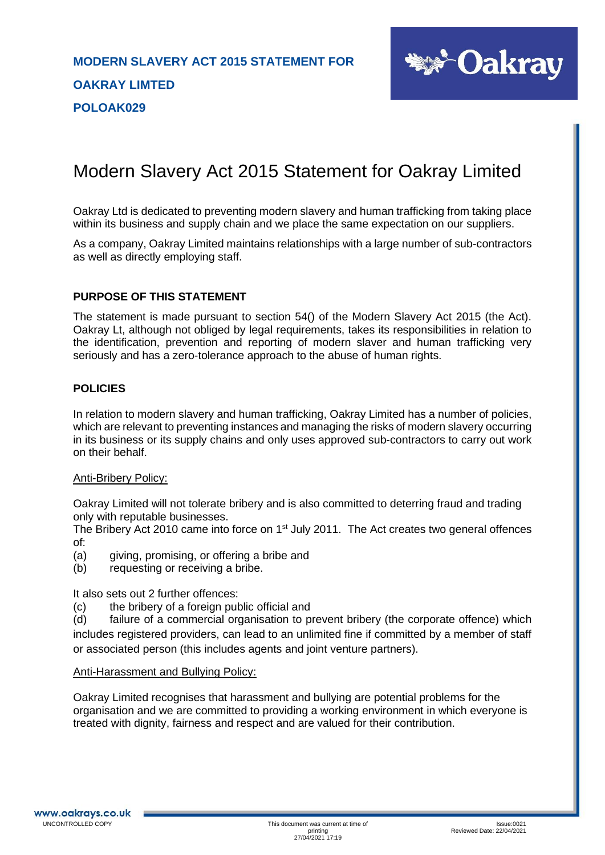

# Modern Slavery Act 2015 Statement for Oakray Limited

Oakray Ltd is dedicated to preventing modern slavery and human trafficking from taking place within its business and supply chain and we place the same expectation on our suppliers.

As a company, Oakray Limited maintains relationships with a large number of sub-contractors as well as directly employing staff.

#### **PURPOSE OF THIS STATEMENT**

The statement is made pursuant to section 54() of the Modern Slavery Act 2015 (the Act). Oakray Lt, although not obliged by legal requirements, takes its responsibilities in relation to the identification, prevention and reporting of modern slaver and human trafficking very seriously and has a zero-tolerance approach to the abuse of human rights.

#### **POLICIES**

In relation to modern slavery and human trafficking, Oakray Limited has a number of policies, which are relevant to preventing instances and managing the risks of modern slavery occurring in its business or its supply chains and only uses approved sub-contractors to carry out work on their behalf.

#### Anti-Bribery Policy:

Oakray Limited will not tolerate bribery and is also committed to deterring fraud and trading only with reputable businesses.

The Bribery Act 2010 came into force on 1<sup>st</sup> July 2011. The Act creates two general offences of:

- (a) giving, promising, or offering a bribe and
- (b) requesting or receiving a bribe.

It also sets out 2 further offences:

(c) the bribery of a foreign public official and

(d) failure of a commercial organisation to prevent bribery (the corporate offence) which includes registered providers, can lead to an unlimited fine if committed by a member of staff or associated person (this includes agents and joint venture partners).

#### Anti-Harassment and Bullying Policy:

Oakray Limited recognises that harassment and bullying are potential problems for the organisation and we are committed to providing a working environment in which everyone is treated with dignity, fairness and respect and are valued for their contribution.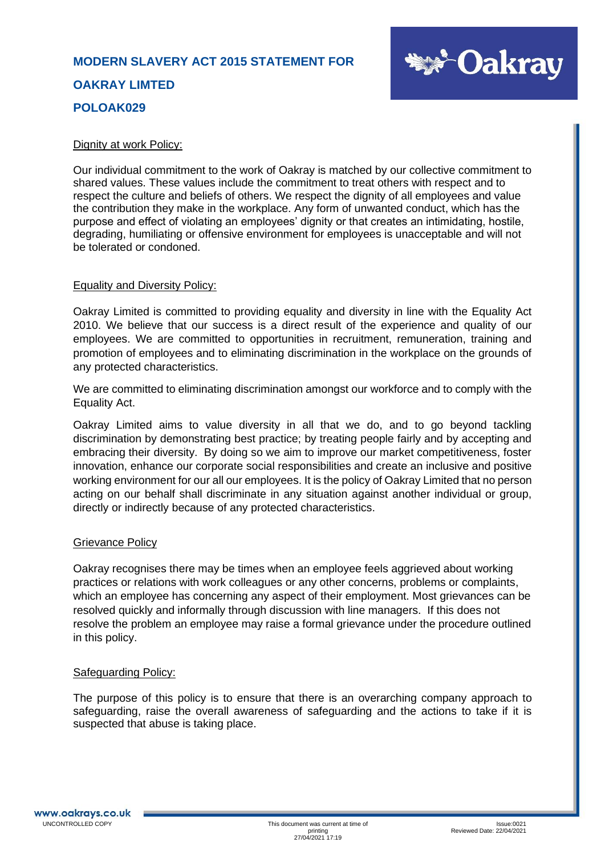

#### Dignity at work Policy:

Our individual commitment to the work of Oakray is matched by our collective commitment to shared values. These values include the commitment to treat others with respect and to respect the culture and beliefs of others. We respect the dignity of all employees and value the contribution they make in the workplace. Any form of unwanted conduct, which has the purpose and effect of violating an employees' dignity or that creates an intimidating, hostile, degrading, humiliating or offensive environment for employees is unacceptable and will not be tolerated or condoned.

#### Equality and Diversity Policy:

Oakray Limited is committed to providing equality and diversity in line with the Equality Act 2010. We believe that our success is a direct result of the experience and quality of our employees. We are committed to opportunities in recruitment, remuneration, training and promotion of employees and to eliminating discrimination in the workplace on the grounds of any protected characteristics.

We are committed to eliminating discrimination amongst our workforce and to comply with the Equality Act.

Oakray Limited aims to value diversity in all that we do, and to go beyond tackling discrimination by demonstrating best practice; by treating people fairly and by accepting and embracing their diversity. By doing so we aim to improve our market competitiveness, foster innovation, enhance our corporate social responsibilities and create an inclusive and positive working environment for our all our employees. It is the policy of Oakray Limited that no person acting on our behalf shall discriminate in any situation against another individual or group, directly or indirectly because of any protected characteristics.

#### Grievance Policy

Oakray recognises there may be times when an employee feels aggrieved about working practices or relations with work colleagues or any other concerns, problems or complaints, which an employee has concerning any aspect of their employment. Most grievances can be resolved quickly and informally through discussion with line managers. If this does not resolve the problem an employee may raise a formal grievance under the procedure outlined in this policy.

#### Safeguarding Policy:

The purpose of this policy is to ensure that there is an overarching company approach to safeguarding, raise the overall awareness of safeguarding and the actions to take if it is suspected that abuse is taking place.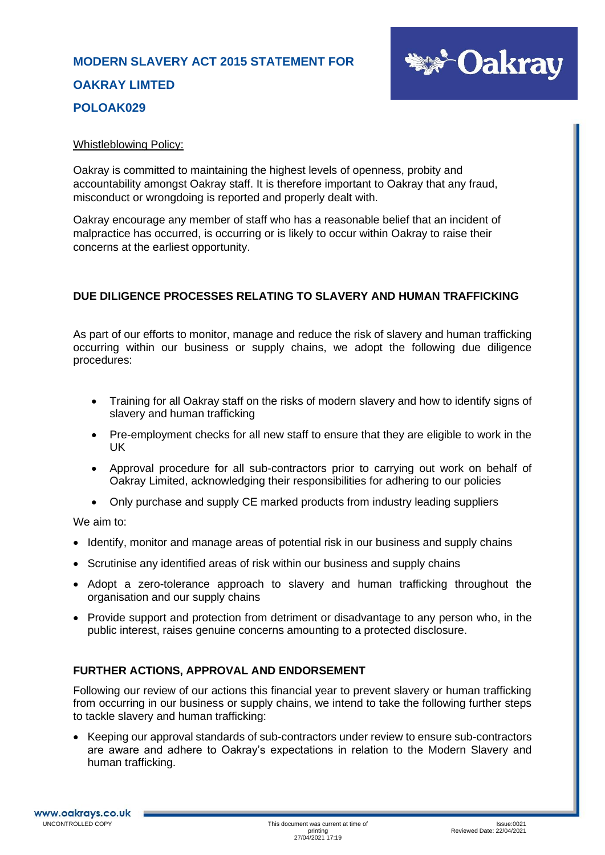

#### Whistleblowing Policy:

Oakray is committed to maintaining the highest levels of openness, probity and accountability amongst Oakray staff. It is therefore important to Oakray that any fraud, misconduct or wrongdoing is reported and properly dealt with.

Oakray encourage any member of staff who has a reasonable belief that an incident of malpractice has occurred, is occurring or is likely to occur within Oakray to raise their concerns at the earliest opportunity.

### **DUE DILIGENCE PROCESSES RELATING TO SLAVERY AND HUMAN TRAFFICKING**

As part of our efforts to monitor, manage and reduce the risk of slavery and human trafficking occurring within our business or supply chains, we adopt the following due diligence procedures:

- Training for all Oakray staff on the risks of modern slavery and how to identify signs of slavery and human trafficking
- Pre-employment checks for all new staff to ensure that they are eligible to work in the UK
- Approval procedure for all sub-contractors prior to carrying out work on behalf of Oakray Limited, acknowledging their responsibilities for adhering to our policies
- Only purchase and supply CE marked products from industry leading suppliers

We aim to:

- Identify, monitor and manage areas of potential risk in our business and supply chains
- Scrutinise any identified areas of risk within our business and supply chains
- Adopt a zero-tolerance approach to slavery and human trafficking throughout the organisation and our supply chains
- Provide support and protection from detriment or disadvantage to any person who, in the public interest, raises genuine concerns amounting to a protected disclosure.

### **FURTHER ACTIONS, APPROVAL AND ENDORSEMENT**

Following our review of our actions this financial year to prevent slavery or human trafficking from occurring in our business or supply chains, we intend to take the following further steps to tackle slavery and human trafficking:

• Keeping our approval standards of sub-contractors under review to ensure sub-contractors are aware and adhere to Oakray's expectations in relation to the Modern Slavery and human trafficking.